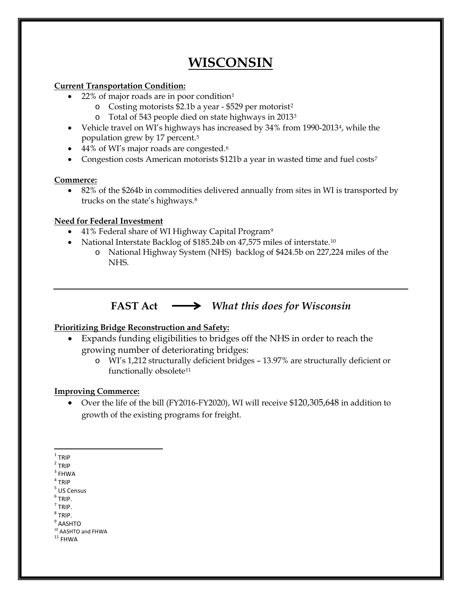# **WISCONSIN**

### **Current Transportation Condition:**

- $22\%$  of major roads are in poor condition<sup>[1](#page-0-0)</sup>
	- o Costing motorists \$2.1b a year \$529 per motorist[2](#page-0-1)
	- Total of 54[3](#page-0-2) people died on state highways in  $2013<sup>3</sup>$
- Vehicle travel on WI's highways has increased by 34% from 1990-2013<sup>4</sup>, while the population grew by 17 percent.[5](#page-0-4)
- 44% of WI's major roads are congested.<sup>[6](#page-0-5)</sup>
- Congestion costs American motorists \$121b a year in wasted time and fuel costs<sup>[7](#page-0-6)</sup>

### **Commerce:**

• 82% of the \$264b in commodities delivered annually from sites in WI is transported by trucks on the state's highways.[8](#page-0-7)

### **Need for Federal Investment**

- 41% Federal share of WI Highway Capital Program<sup>[9](#page-0-8)</sup>
- National Interstate Backlog of \$185.24b on 47,575 miles of interstate.<sup>[10](#page-0-9)</sup>
	- o National Highway System (NHS) backlog of \$424.5b on 227,224 miles of the NHS.

## **FAST Act** *What this does for Wisconsin*

### **Prioritizing Bridge Reconstruction and Safety:**

- Expands funding eligibilities to bridges off the NHS in order to reach the growing number of deteriorating bridges:
	- o WI's 1,212 structurally deficient bridges 13.97% are structurally deficient or functionally obsolete<sup>[11](#page-0-10)</sup>

#### **Improving Commerce:**

• Over the life of the bill (FY2016-FY2020), WI will receive \$120,305,648 in addition to growth of the existing programs for freight.

- <span id="page-0-5"></span> $<sup>6</sup>$  TRIP.</sup>
- <span id="page-0-6"></span> $<sup>7</sup>$  TRIP.</sup>
- <span id="page-0-7"></span> $8$  TRIP.
- <sup>9</sup> AASHTO

 $\overline{a}$  $1$  TRIP

<span id="page-0-1"></span><span id="page-0-0"></span><sup>2</sup> TRIP

<span id="page-0-2"></span> $3$  FHWA

<span id="page-0-3"></span><sup>4</sup> TRIP

<span id="page-0-4"></span><sup>5</sup> US Census

<span id="page-0-10"></span><span id="page-0-9"></span><span id="page-0-8"></span> $10$  AASHTO and FHWA<br> $11$  FHWA